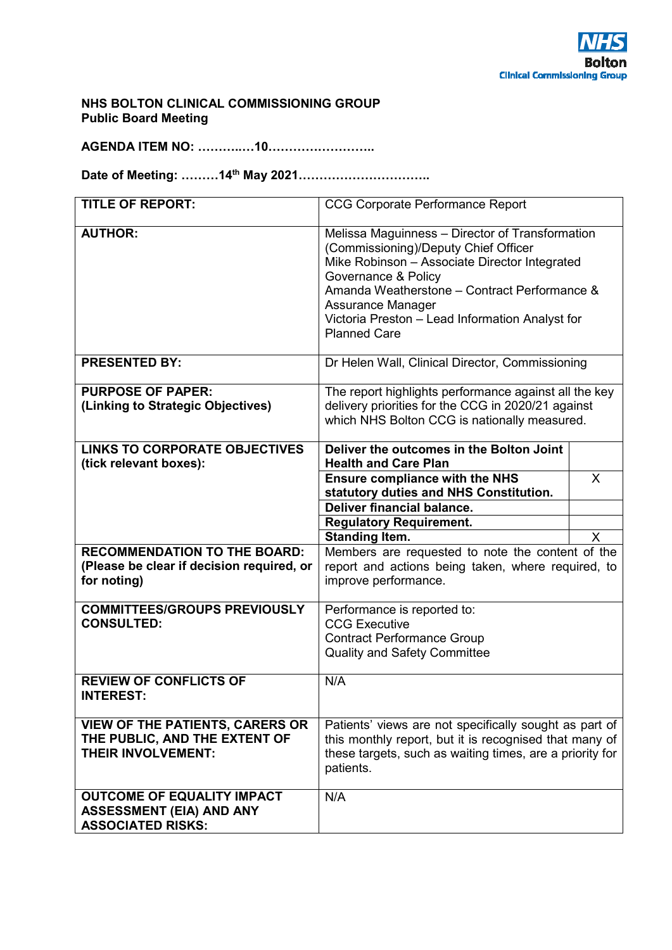

#### **NHS BOLTON CLINICAL COMMISSIONING GROUP Public Board Meeting**

**AGENDA ITEM NO: ………..…10……………………..** 

**Date of Meeting: ………14th May 2021…………………………..** 

| <b>TITLE OF REPORT:</b>                                                                              | <b>CCG Corporate Performance Report</b>                                                                                                                                                                                                                                                                        |              |  |  |
|------------------------------------------------------------------------------------------------------|----------------------------------------------------------------------------------------------------------------------------------------------------------------------------------------------------------------------------------------------------------------------------------------------------------------|--------------|--|--|
| <b>AUTHOR:</b>                                                                                       | Melissa Maguinness - Director of Transformation<br>(Commissioning)/Deputy Chief Officer<br>Mike Robinson - Associate Director Integrated<br>Governance & Policy<br>Amanda Weatherstone - Contract Performance &<br>Assurance Manager<br>Victoria Preston - Lead Information Analyst for<br><b>Planned Care</b> |              |  |  |
| <b>PRESENTED BY:</b>                                                                                 | Dr Helen Wall, Clinical Director, Commissioning                                                                                                                                                                                                                                                                |              |  |  |
| <b>PURPOSE OF PAPER:</b><br>(Linking to Strategic Objectives)                                        | The report highlights performance against all the key<br>delivery priorities for the CCG in 2020/21 against<br>which NHS Bolton CCG is nationally measured.                                                                                                                                                    |              |  |  |
| <b>LINKS TO CORPORATE OBJECTIVES</b><br>(tick relevant boxes):                                       | Deliver the outcomes in the Bolton Joint<br><b>Health and Care Plan</b>                                                                                                                                                                                                                                        |              |  |  |
|                                                                                                      | <b>Ensure compliance with the NHS</b><br>statutory duties and NHS Constitution.                                                                                                                                                                                                                                | X            |  |  |
|                                                                                                      | <b>Deliver financial balance.</b><br><b>Regulatory Requirement.</b>                                                                                                                                                                                                                                            |              |  |  |
|                                                                                                      | <b>Standing Item.</b>                                                                                                                                                                                                                                                                                          | $\mathsf{X}$ |  |  |
| <b>RECOMMENDATION TO THE BOARD:</b><br>(Please be clear if decision required, or<br>for noting)      | Members are requested to note the content of the<br>report and actions being taken, where required, to<br>improve performance.                                                                                                                                                                                 |              |  |  |
| <b>COMMITTEES/GROUPS PREVIOUSLY</b><br><b>CONSULTED:</b>                                             | Performance is reported to:<br><b>CCG Executive</b><br><b>Contract Performance Group</b><br><b>Quality and Safety Committee</b>                                                                                                                                                                                |              |  |  |
| <b>REVIEW OF CONFLICTS OF</b><br><b>INTEREST:</b>                                                    | N/A                                                                                                                                                                                                                                                                                                            |              |  |  |
| <b>VIEW OF THE PATIENTS, CARERS OR</b><br>THE PUBLIC, AND THE EXTENT OF<br><b>THEIR INVOLVEMENT:</b> | Patients' views are not specifically sought as part of<br>this monthly report, but it is recognised that many of<br>these targets, such as waiting times, are a priority for<br>patients.                                                                                                                      |              |  |  |
| <b>OUTCOME OF EQUALITY IMPACT</b><br><b>ASSESSMENT (EIA) AND ANY</b><br><b>ASSOCIATED RISKS:</b>     | N/A                                                                                                                                                                                                                                                                                                            |              |  |  |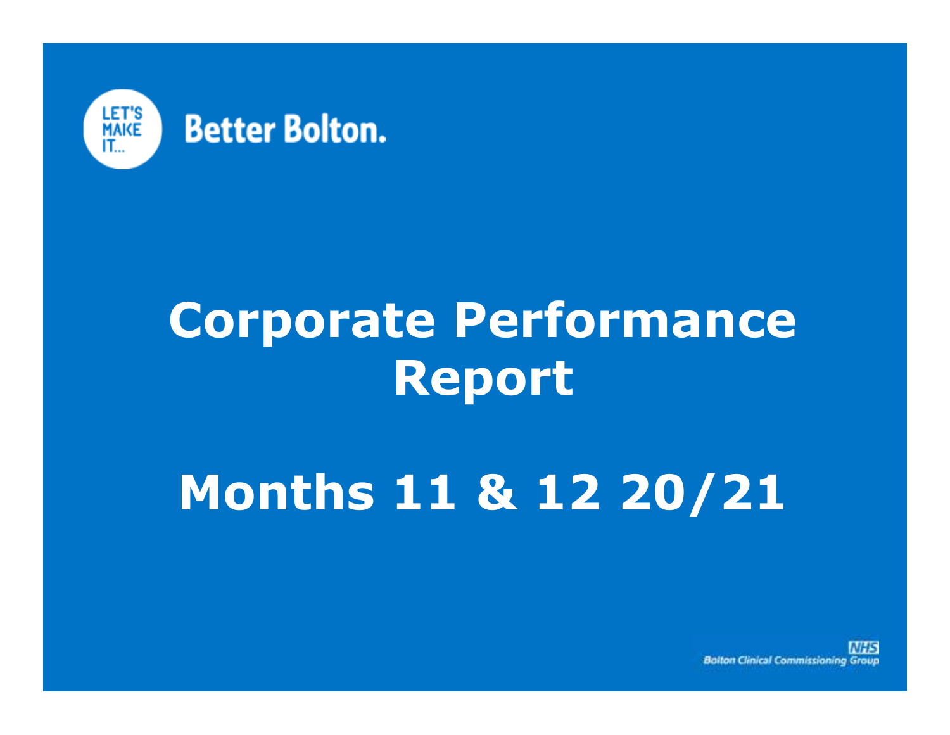

## **Corporate Performance Report**

# **Months 11 & 12 20/21**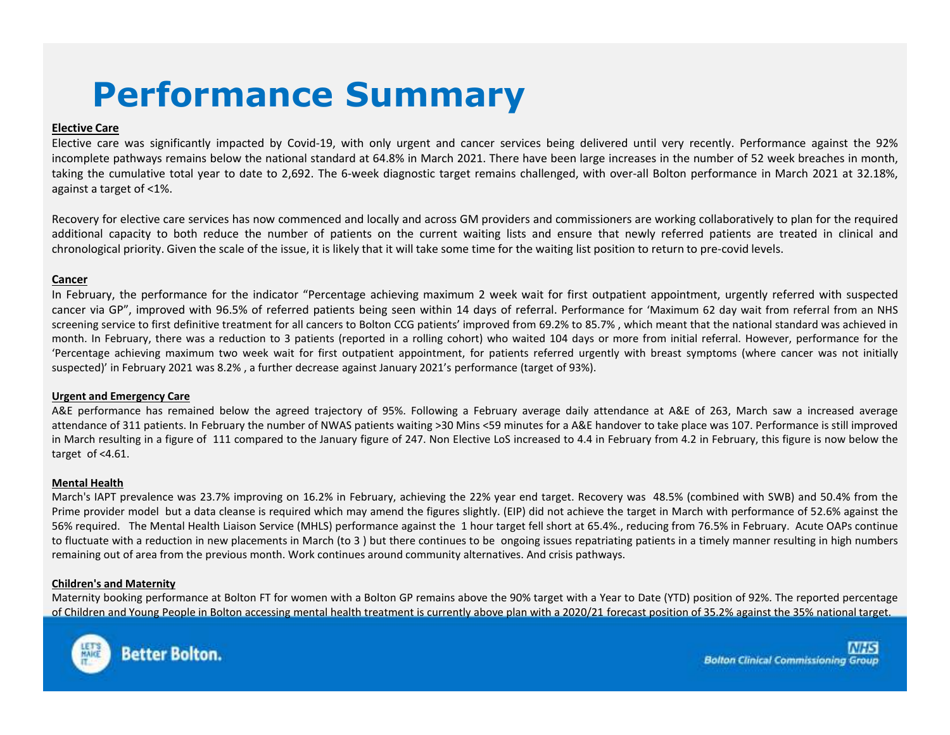## **Performance Summary**

#### **Elective Care**

Elective care was significantly impacted by Covid-19, with only urgent and cancer services being delivered until very recently. Performance against the 92% incomplete pathways remains below the national standard at 64.8% in March 2021. There have been large increases in the number of <sup>52</sup> week breaches in month, taking the cumulative total year to date to 2,692. The 6-week diagnostic target remains challenged, with over-all Bolton performance in March <sup>2021</sup> at 32.18%, against <sup>a</sup> target of <1%.

Recovery for elective care services has now commenced and locally and across GM providers and commissioners are working collaboratively to plan for the required additional capacity to both reduce the number of patients on the current waiting lists and ensure that newly referred patients are treated in clinical and chronological priority. Given the scale of the issue, it is likely that it will take some time for the waiting list position to return to pre-covid levels.

#### **Cancer**

 In February, the performance for the indicator "Percentage achieving maximum <sup>2</sup> week wait for first outpatient appointment, urgently referred with suspected cancer via GP", improved with 96.5% of referred patients being seen within <sup>14</sup> days of referral. <sup>P</sup>erformance for 'Maximum <sup>62</sup> day wait from referral from an NHS screening service to first definitive treatment for all cancers to Bolton CCG patients' improved from 69.2% to 85.7% , which meant that the national standard was achieved in month. In February, there was <sup>a</sup> reduction to <sup>3</sup> patients (reported in <sup>a</sup> rolling cohort) who waited <sup>104</sup> days or more from initial referral. However, performance for the 'Percentage achieving maximum two week wait for first outpatient appointment, for patients referred urgently with breast symptoms (where cancer was not initially suspected)' in February <sup>2021</sup> was 8.2% , <sup>a</sup> further decrease against January 2021's performance (target of 93%).

#### **Urgent and Emergency Care**

A&E performance has remained below the agreed trajectory of 95%. Following <sup>a</sup> February average daily attendance at A&E of 263, March saw <sup>a</sup> increased average attendance of <sup>311</sup> patients. In February the number of NWAS patients waiting >30 Mins <59 minutes for <sup>a</sup> A&E handover to take place was 107. Performance is still improved in March resulting in <sup>a</sup> figure of <sup>111</sup> compared to the January figure of 247. Non Elective LoS increased to 4.4 in February from 4.2 in February, this figure is now below the target of <4.61.

#### **Mental Health**

 March's IAPT prevalence was 23.7% improving on 16.2% in February, achieving the 22% year end target. Recovery was 48.5% (combined with SWB) and 50.4% from the Prime provider model but a data cleanse is required which may amend the figures slightly. (EIP) did not achieve the target in March with performance of 52.6% against the 56% required. The Mental Health Liaison Service (MHLS) performance against the <sup>1</sup> hour target fell short at 65.4%., reducing from 76.5% in February. Acute OAPs continue to fluctuate with <sup>a</sup> reduction in new placements in March (to <sup>3</sup> ) but there continues to be ongoing issues repatriating patients in <sup>a</sup> timely manner resulting in high numbers remaining out of area from the previous month. Work continues around community alternatives. And crisis pathways.

#### **Children's and Maternity**

Maternity booking performance at Bolton FT for women with <sup>a</sup> Bolton GP remains above the 90% target with <sup>a</sup> Year to Date (YTD) position of 92%. The reported percentage of Children and Young People in Bolton accessing mental health treatment is currently above plan with <sup>a</sup> 2020/21 forecast position of 35.2% against the 35% national target.



**Better Bolton.**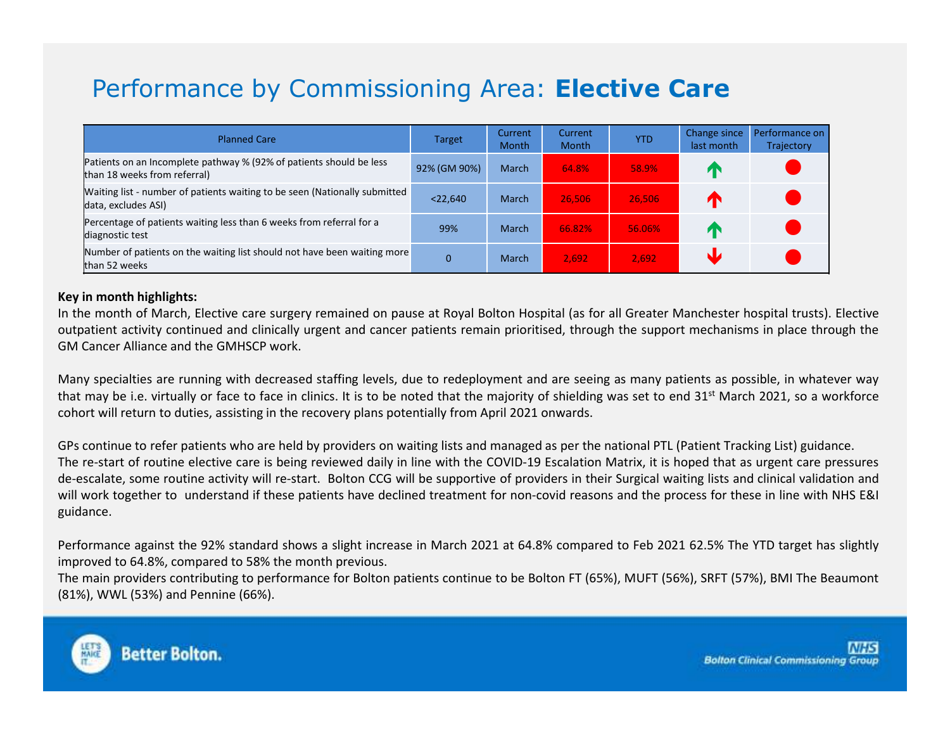### Performance by Commissioning Area: **Elective Care**

| <b>Planned Care</b>                                                                                 | <b>Target</b> | Current<br><b>Month</b> | Current<br><b>Month</b> | <b>YTD</b> | Change since<br>last month | Performance on<br>Trajectory |
|-----------------------------------------------------------------------------------------------------|---------------|-------------------------|-------------------------|------------|----------------------------|------------------------------|
| Patients on an Incomplete pathway % (92% of patients should be less<br>than 18 weeks from referral) | 92% (GM 90%)  | March                   | 64.8%                   | 58.9%      | ИΝ                         |                              |
| Waiting list - number of patients waiting to be seen (Nationally submitted<br>data, excludes ASI)   | $<$ 22,640    | March                   | 26,506                  | 26.506     | ИΝ                         |                              |
| Percentage of patients waiting less than 6 weeks from referral for a<br>diagnostic test             | 99%           | March                   | 66.82%                  | 56.06%     | <b>ZX</b>                  |                              |
| Number of patients on the waiting list should not have been waiting more<br>than 52 weeks           |               | March                   | 2,692                   | 2.692      |                            |                              |

#### **Key in month highlights:**

In the month of March, Elective care surgery remained on pause at Royal Bolton Hospital (as for all Greater Manchester hospital trusts). Elective outpatient activity continued and clinically urgent and cancer patients remain prioritised, through the support mechanisms in place through the GM Cancer Alliance and the GMHSCP work.

Many specialties are running with decreased staffing levels, due to redeployment and are seeing as many patients as possible, in whatever way that may be i.e. virtually or face to face in clinics. It is to be noted that the majority of shielding was set to end 31<sup>st</sup> March 2021, so a workforce cohort will return to duties, assisting in the recovery plans potentially from April <sup>2021</sup> onwards.

GPs continue to refer patients who are held by providers on waiting lists and managed as per the national PTL (Patient Tracking List) guidance. The re-start of routine elective care is being reviewed daily in line with the COVID-19 Escalation Matrix, it is hoped that as urgent care pressures de-escalate, some routine activity will re-start. Bolton CCG will be supportive of providers in their Surgical waiting lists and clinical validation and will work together to understand if these patients have declined treatment for non-covid reasons and the process for these in line with NHS E&I guidance.

Performance against the 92% standard shows <sup>a</sup> slight increase in March <sup>2021</sup> at 64.8% compared to Feb <sup>2021</sup> 62.5% The YTD target has slightly improved to 64.8%, compared to 58% the month previous.

The main providers contributing to performance for Bolton patients continue to be Bolton FT (65%), MUFT (56%), SRFT (57%), BMI The Beaumont (81%), WWL (53%) and Pennine (66%).

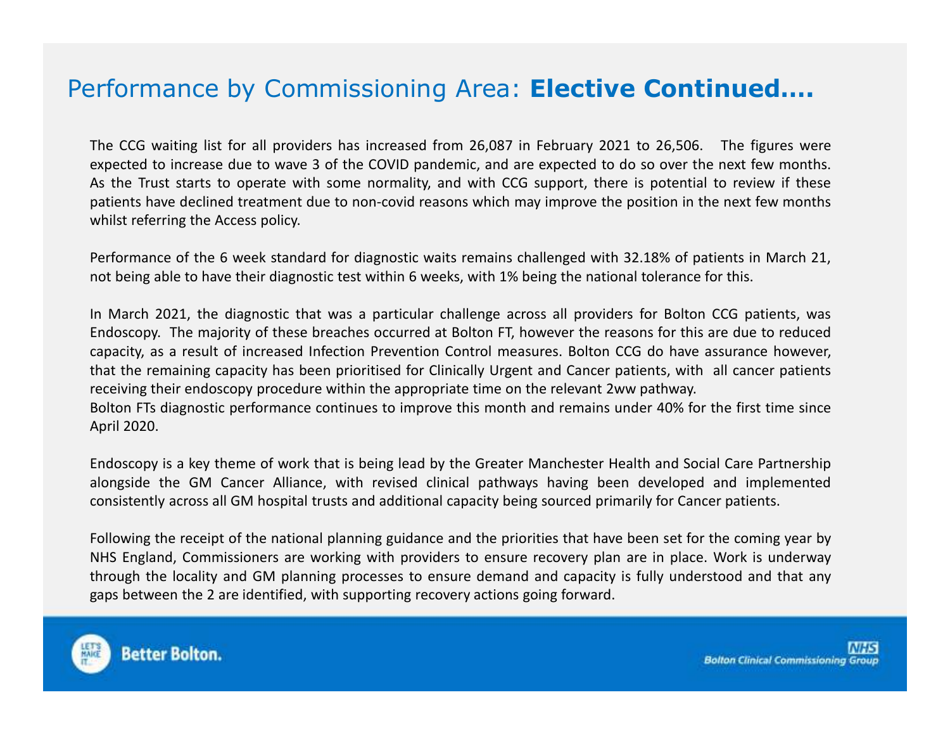### Performance by Commissioning Area: **Elective Continued….**

The CCG waiting list for all providers has increased from 26,087 in February <sup>2021</sup> to 26,506. The figures were expected to increase due to wave <sup>3</sup> of the COVID pandemic, and are expected to do so over the next few months. As the Trust starts to operate with some normality, and with CCG support, there is potential to review if these patients have declined treatment due to non-covid reasons which may improve the position in the next few months whilst referring the Access policy.

Performance of the <sup>6</sup> week standard for diagnostic waits remains challenged with 32.18% of patients in March 21, not being able to have their diagnostic test within <sup>6</sup> weeks, with 1% being the national tolerance for this.

In March 2021, the diagnostic that was <sup>a</sup> particular challenge across all providers for Bolton CCG patients, was Endoscopy. The majority of these breaches occurred at Bolton FT, however the reasons for this are due to reduced capacity, as <sup>a</sup> result of increased Infection Prevention Control measures. Bolton CCG do have assurance however, that the remaining capacity has been prioritised for Clinically Urgent and Cancer patients, with all cancer patients receiving their endoscopy procedure within the appropriate time on the relevant 2ww pathway. Bolton FTs diagnostic performance continues to improve this month and remains under 40% for the first time since April 2020.

Endoscopy is <sup>a</sup> key theme of work that is being lead by the Greater Manchester Health and Social Care Partnership alongside the GM Cancer Alliance, with revised clinical pathways having been developed and implementedconsistently across all GM hospital trusts and additional capacity being sourced primarily for Cancer patients.

Following the receipt of the national planning guidance and the priorities that have been set for the coming year by NHS England, Commissioners are working with providers to ensure recovery plan are in place. Work is underway through the locality and GM planning processes to ensure demand and capacity is fully understood and that any gaps between the <sup>2</sup> are identified, with supporting recovery actions going forward.

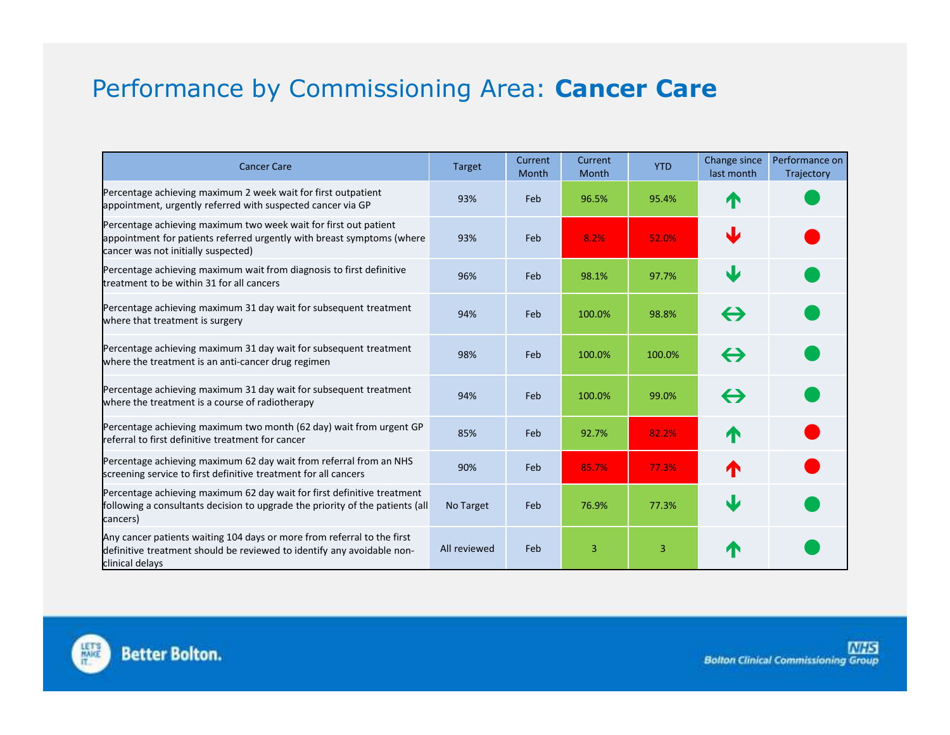### Performance by Commissioning Area: **Cancer Care**

| <b>Cancer Care</b>                                                                                                                                                                | <b>Target</b> | Current<br><b>Month</b> | Current<br>Month | <b>YTD</b> | Change since<br>last month | Performance on<br>Trajectory |
|-----------------------------------------------------------------------------------------------------------------------------------------------------------------------------------|---------------|-------------------------|------------------|------------|----------------------------|------------------------------|
| Percentage achieving maximum 2 week wait for first outpatient<br>appointment, urgently referred with suspected cancer via GP                                                      | 93%           | Feb                     | 96.5%            | 95.4%      |                            |                              |
| Percentage achieving maximum two week wait for first out patient<br>appointment for patients referred urgently with breast symptoms (where<br>cancer was not initially suspected) | 93%           | Feb                     | 8.2%             | 52.0%      | NZ                         |                              |
| Percentage achieving maximum wait from diagnosis to first definitive<br>treatment to be within 31 for all cancers                                                                 | 96%           | Feb                     | 98.1%            | 97.7%      | J                          |                              |
| Percentage achieving maximum 31 day wait for subsequent treatment<br>where that treatment is surgery                                                                              | 94%           | Feb                     | 100.0%           | 98.8%      | $\leftrightarrow$          |                              |
| Percentage achieving maximum 31 day wait for subsequent treatment<br>where the treatment is an anti-cancer drug regimen                                                           | 98%           | Feb                     | 100.0%           | 100.0%     | $\leftrightarrow$          |                              |
| Percentage achieving maximum 31 day wait for subsequent treatment<br>where the treatment is a course of radiotherapy                                                              | 94%           | Feb                     | 100.0%           | 99.0%      | $\leftrightarrow$          |                              |
| Percentage achieving maximum two month (62 day) wait from urgent GP<br>referral to first definitive treatment for cancer                                                          | 85%           | Feb                     | 92.7%            | 82.2%      | T                          |                              |
| Percentage achieving maximum 62 day wait from referral from an NHS<br>screening service to first definitive treatment for all cancers                                             | 90%           | Feb                     | 85.7%            | 77.3%      | ́∩                         |                              |
| Percentage achieving maximum 62 day wait for first definitive treatment<br>ffollowing a consultants decision to upgrade the priority of the patients (all<br>cancers)             | No Target     | Feb                     | 76.9%            | 77.3%      | J                          |                              |
| Any cancer patients waiting 104 days or more from referral to the first<br>definitive treatment should be reviewed to identify any avoidable non-<br>clinical delays              | All reviewed  | Feb                     | 3                | 3          | T                          |                              |

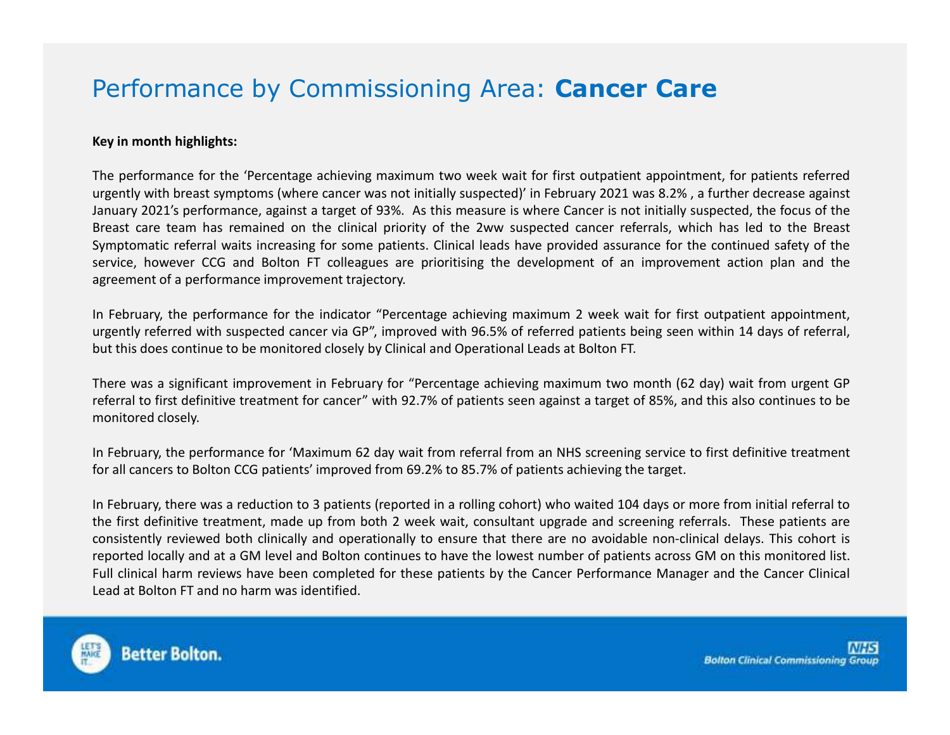### Performance by Commissioning Area: **Cancer Care**

#### **Key in month highlights:**

The performance for the 'Percentage achieving maximum two week wait for first outpatient appointment, for patients referred urgently with breast symptoms (where cancer was not initially suspected)' in February <sup>2021</sup> was 8.2% , <sup>a</sup> further decrease against January 2021's performance, against <sup>a</sup> target of 93%. As this measure is where Cancer is not initially suspected, the focus of the Breast care team has remained on the clinical priority of the 2ww suspected cancer referrals, which has led to the Breast Symptomatic referral waits increasing for some patients. Clinical leads have provided assurance for the continued safety of the service, however CCG and Bolton FT colleagues are prioritising the development of an improvement action plan and the agreement of <sup>a</sup> performance improvement trajectory.

In February, the performance for the indicator "Percentage achieving maximum <sup>2</sup> week wait for first outpatient appointment, urgently referred with suspected cancer via GP", improved with 96.5% of referred patients being seen within <sup>14</sup> days of referral, but this does continue to be monitored closely by Clinical and Operational Leads at Bolton FT.

There was <sup>a</sup> significant improvement in February for "Percentage achieving maximum two month (62 day) wait from urgent GP referral to first definitive treatment for cancer" with 92.7% of patients seen against <sup>a</sup> target of 85%, and this also continues to be monitored closely.

In February, the performance for 'Maximum <sup>62</sup> day wait from referral from an NHS screening service to first definitive treatment for all cancers to Bolton CCG patients' improved from 69.2% to 85.7% of patients achieving the target.

In February, there was <sup>a</sup> reduction to <sup>3</sup> patients (reported in <sup>a</sup> rolling cohort) who waited <sup>104</sup> days or more from initial referral to the first definitive treatment, made up from both <sup>2</sup> week wait, consultant upgrade and screening referrals. These patients are consistently reviewed both clinically and operationally to ensure that there are no avoidable non-clinical delays. This cohort is reported locally and at <sup>a</sup> GM level and Bolton continues to have the lowest number of patients across GM on this monitored list. Full clinical harm reviews have been completed for these patients by the Cancer Performance Manager and the Cancer Clinical Lead at Bolton FT and no harm was identified.

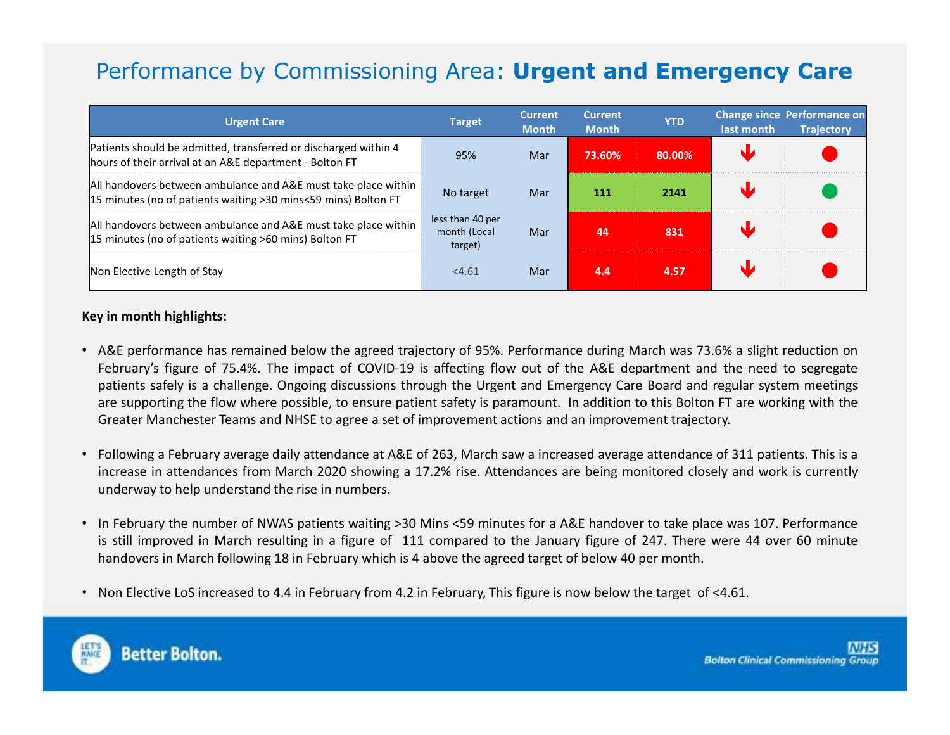### Performance by Commissioning Area: **Urgent and Emergency Care**

| <b>Urgent Care</b>                                                                                                                | <b>Target</b>                               | <b>Current</b><br><b>Month</b> | <b>Current</b><br><b>Month</b> | <b>YTD</b> | last month | <b>Change since Performance on</b><br><b>Trajectory</b> |
|-----------------------------------------------------------------------------------------------------------------------------------|---------------------------------------------|--------------------------------|--------------------------------|------------|------------|---------------------------------------------------------|
| Patients should be admitted, transferred or discharged within 4<br>hours of their arrival at an A&E department - Bolton FT        | 95%                                         | Mar                            | 73.60%                         | 80.00%     |            |                                                         |
| All handovers between ambulance and A&E must take place within<br>15 minutes (no of patients waiting > 30 mins<59 mins) Bolton FT | No target                                   | Mar                            | 111                            | 2141       |            |                                                         |
| All handovers between ambulance and A&E must take place within<br>15 minutes (no of patients waiting >60 mins) Bolton FT          | less than 40 per<br>month (Local<br>target) | Mar                            | 44                             | 831        |            |                                                         |
| Non Elective Length of Stay                                                                                                       | < 4.61                                      | Mar                            | 4.4                            | 4.57       |            |                                                         |

#### **Key in month highlights:**

- A&E performance has remained below the agreed trajectory of 95%. Performance during March was 73.6% <sup>a</sup> slight reduction <sup>o</sup>n February's figure of 75.4%. The impact of COVID-19 is affecting flow out of the A&E department and the need to segregate patients safely is <sup>a</sup> challenge. Ongoing discussions through the Urgent and Emergency Care Board and regular system meetings are supporting the flow where possible, to ensure patient safety is paramount. In addition to this Bolton FT are working with the Greater Manchester Teams and NHSE to agree <sup>a</sup> set of improvement actions and an improvement trajectory.
- Following <sup>a</sup> February average daily attendance at A&E of 263, March saw <sup>a</sup> increased average attendance of <sup>311</sup> patients. This is <sup>a</sup> increase in attendances from March <sup>2020</sup> showing <sup>a</sup> 17.2% rise. Attendances are being monitored closely and work is currently underway to help understand the rise in numbers.
- In February the number of NWAS patients waiting >30 Mins <59 minutes for <sup>a</sup> A&E handover to take place was 107. Performance is still improved in March resulting in <sup>a</sup> figure of <sup>111</sup> compared to the January figure of 247. There were <sup>44</sup> over <sup>60</sup> minute handovers in March following <sup>18</sup> in February which is <sup>4</sup> above the agreed target of below <sup>40</sup> per month.
- Non Elective LoS increased to 4.4 in February from 4.2 in February, This figure is now below the target of <4.61.



**Better Bolton.**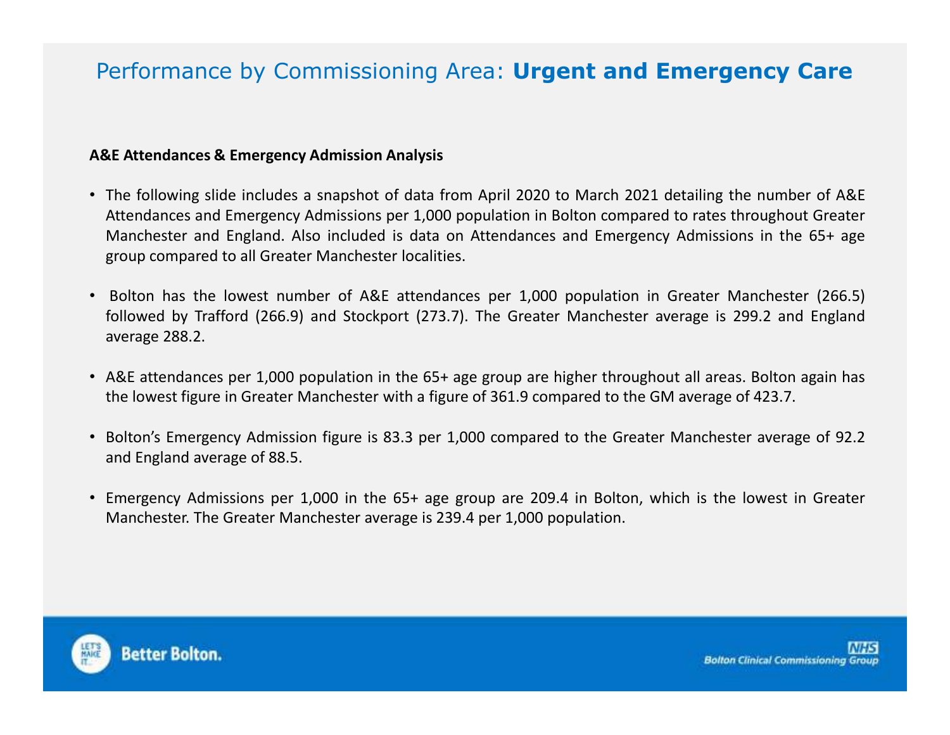### Performance by Commissioning Area: **Urgent and Emergency Care**

#### **A&E Attendances & Emergency Admission Analysis**

- The following slide includes <sup>a</sup> snapshot of data from April <sup>2020</sup> to March <sup>2021</sup> detailing the number of A&E Attendances and Emergency Admissions per 1,000 population in Bolton compared to rates throughout Greater Manchester and England. Also included is data on Attendances and Emergency Admissions in the 65+ age group compared to all Greater Manchester localities.
- Bolton has the lowest number of A&E attendances per 1,000 population in Greater Manchester (266.5) followed by Trafford (266.9) and Stockport (273.7). The Greater Manchester average is 299.2 and Englandaverage 288.2.
- A&E attendances per 1,000 population in the 65+ age group are higher throughout all areas. Bolton again has the lowest figure in Greater Manchester with <sup>a</sup> figure of 361.9 compared to the GM average of 423.7.
- Bolton's Emergency Admission figure is 83.3 per 1,000 compared to the Greater Manchester average of 92.2and England average of 88.5.
- Emergency Admissions per 1,000 in the 65+ age group are 209.4 in Bolton, which is the lowest in Greater Manchester. The Greater Manchester average is 239.4 per 1,000 population.

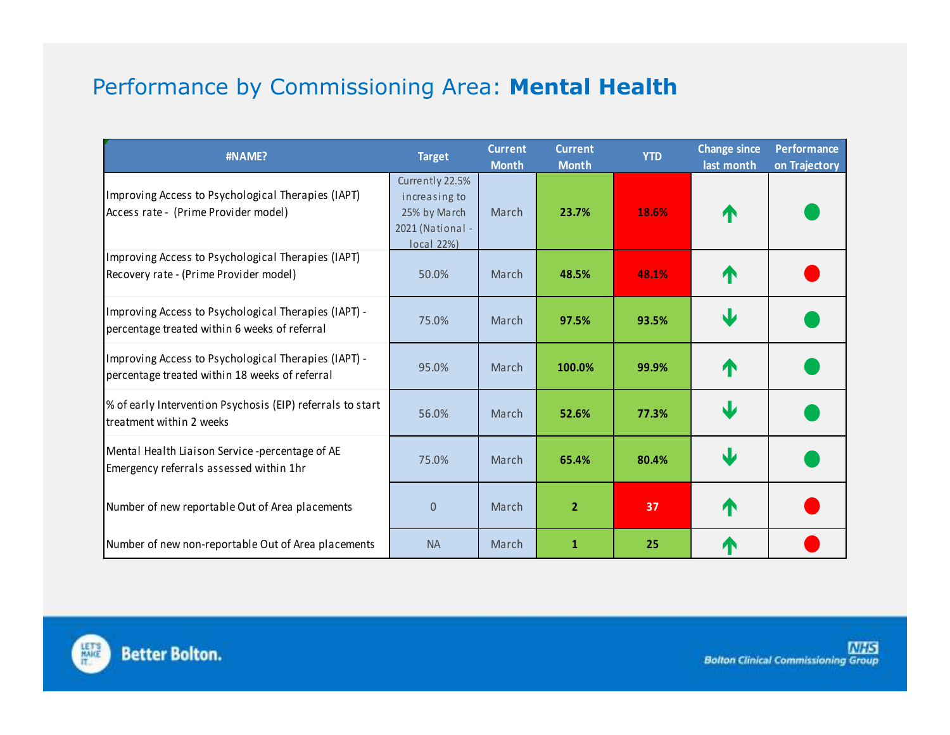### Performance by Commissioning Area: **Mental Health**

| #NAME?                                                                                                 | <b>Target</b>                                                                             | <b>Current</b><br><b>Month</b> | <b>Current</b><br><b>Month</b> | <b>YTD</b> | <b>Change since</b><br>last month | <b>Performance</b><br>on Trajectory |
|--------------------------------------------------------------------------------------------------------|-------------------------------------------------------------------------------------------|--------------------------------|--------------------------------|------------|-----------------------------------|-------------------------------------|
| Improving Access to Psychological Therapies (IAPT)<br>Access rate - (Prime Provider model)             | Currently 22.5%<br>increasing to<br>25% by March<br>2021 (National -<br><b>local 22%)</b> | March                          | 23.7%                          | 18.6%      | ↑                                 |                                     |
| Improving Access to Psychological Therapies (IAPT)<br>Recovery rate - (Prime Provider model)           | 50.0%                                                                                     | March                          | 48.5%                          | 48.1%      | ∧                                 |                                     |
| Improving Access to Psychological Therapies (IAPT) -<br>percentage treated within 6 weeks of referral  | 75.0%                                                                                     | March                          | 97.5%                          | 93.5%      | ψ                                 |                                     |
| Improving Access to Psychological Therapies (IAPT) -<br>percentage treated within 18 weeks of referral | 95.0%                                                                                     | March                          | 100.0%                         | 99.9%      | ∧                                 |                                     |
| % of early Intervention Psychosis (EIP) referrals to start<br>treatment within 2 weeks                 | 56.0%                                                                                     | March                          | 52.6%                          | 77.3%      | Ψ                                 |                                     |
| Mental Health Liaison Service -percentage of AE<br>Emergency referrals assessed within 1hr             | 75.0%                                                                                     | March                          | 65.4%                          | 80.4%      | J                                 |                                     |
| Number of new reportable Out of Area placements                                                        | $\overline{0}$                                                                            | March                          | $\overline{2}$                 | 37         | ↑                                 |                                     |
| Number of new non-reportable Out of Area placements                                                    | <b>NA</b>                                                                                 | March                          | 1                              | 25         | $\blacktriangle$                  |                                     |

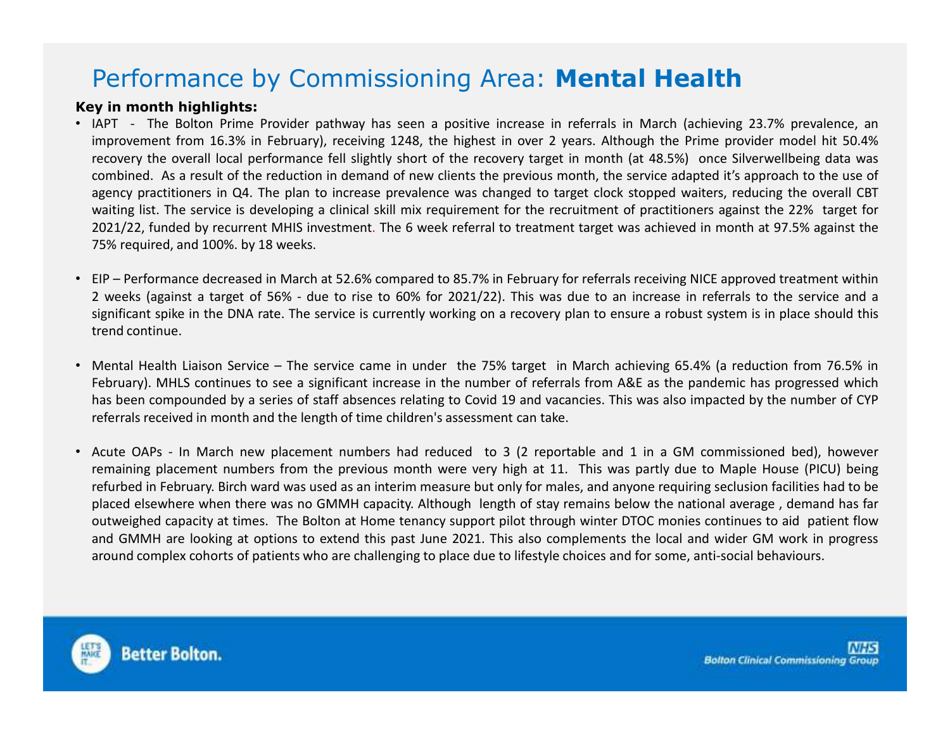### Performance by Commissioning Area: **Mental Health**

#### **Key in month highlights:**

- IAPT The Bolton Prime Provider pathway has seen <sup>a</sup> positive increase in referrals in March (achieving 23.7% prevalence, an improvement from 16.3% in February), receiving 1248, the highest in over <sup>2</sup> years. Although the Prime provider model hit 50.4% recovery the overall local performance fell slightly short of the recovery target in month (at 48.5%) once Silverwellbeing data was combined. As <sup>a</sup> result of the reduction in demand of new clients the previous month, the service adapted it's approach to the use of agency practitioners in Q4. The plan to increase prevalence was changed to target clock stopped waiters, reducing the overall CBT waiting list. The service is developing <sup>a</sup> clinical skill mix requirement for the recruitment of practitioners against the 22% target for 2021/22, funded by recurrent MHIS investment. The <sup>6</sup> week referral to treatment target was achieved in month at 97.5% against the 75% required, and 100%. by <sup>18</sup> weeks.
- EIP Performance decreased in March at 52.6% compared to 85.7% in February for referrals receiving NICE approved treatment within <sup>2</sup> weeks (against <sup>a</sup> target of 56% - due to rise to 60% for 2021/22). This was due to an increase in referrals to the service and <sup>a</sup> significant spike in the DNA rate. The service is currently working on <sup>a</sup> recovery plan to ensure <sup>a</sup> robust system is in place should this trend continue.
- Mental Health Liaison Service The service came in under the 75% target in March achieving 65.4% (a reduction from 76.5% in February). MHLS continues to see <sup>a</sup> significant increase in the number of referrals from A&E as the pandemic has progressed which has been compounded by <sup>a</sup> series of staff absences relating to Covid <sup>19</sup> and vacancies. This was also impacted by the number of CYP referrals received in month and the length of time children's assessment can take.
- Acute OAPs In March new placement numbers had reduced to <sup>3</sup> (2 reportable and <sup>1</sup> in <sup>a</sup> GM commissioned bed), however remaining placement numbers from the previous month were very high at 11. This was partly due to Maple House (PICU) being refurbed in February. Birch ward was used as an interim measure but only for males, and anyone requiring seclusion facilities had to be placed elsewhere when there was no GMMH capacity. Although length of stay remains below the national average , demand has far outweighed capacity at times. The Bolton at Home tenancy support pilot through winter DTOC monies continues to aid patient flow and GMMH are looking at options to extend this past June 2021. This also complements the local and wider GM work in progress around complex cohorts of patients who are challenging to place due to lifestyle choices and for some, anti-social behaviours.

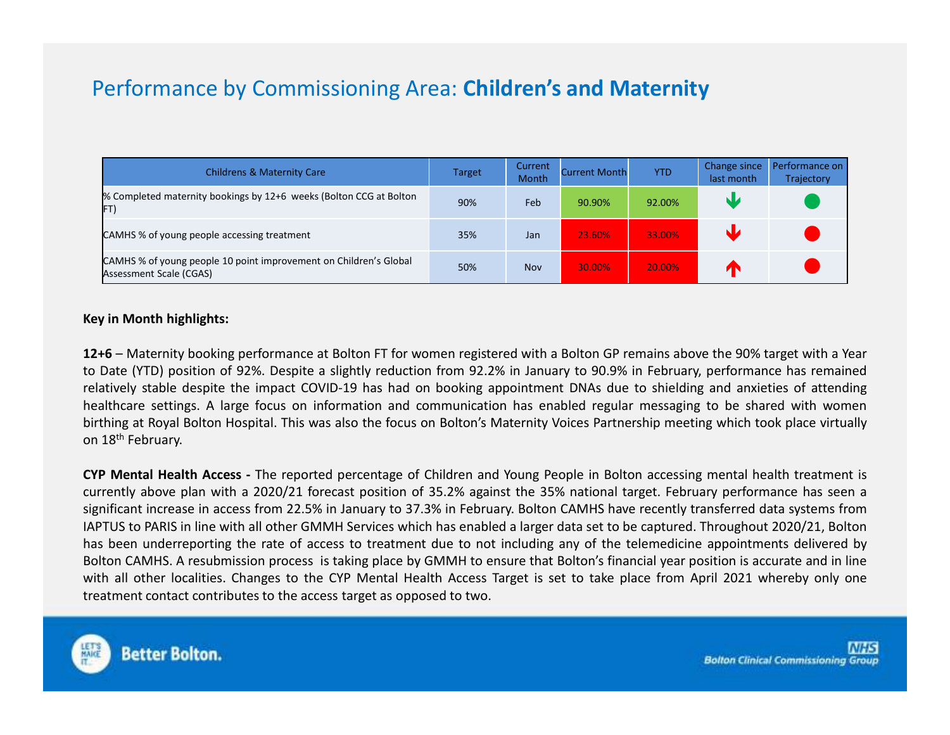### Performance by Commissioning Area: **Children's and Maternity**

| <b>Childrens &amp; Maternity Care</b>                                                        | <b>Target</b> | Current<br>Month | <b>Current Month</b> | <b>YTD</b> | Change since<br>last month | Performance on<br>Trajectory |
|----------------------------------------------------------------------------------------------|---------------|------------------|----------------------|------------|----------------------------|------------------------------|
| % Completed maternity bookings by 12+6 weeks (Bolton CCG at Bolton<br>FT)                    | 90%           | Feb              | 90.90%               | 92.00%     | N.Z                        |                              |
| CAMHS % of young people accessing treatment                                                  | 35%           | Jan              | 23.60%               | 33.00%     |                            |                              |
| CAMHS % of young people 10 point improvement on Children's Global<br>Assessment Scale (CGAS) | 50%           | <b>Nov</b>       | 30.00%               | 20.00%     |                            |                              |

#### **Key in Month highlights:**

**12+6** – Maternity booking performance at Bolton FT for women registered with <sup>a</sup> Bolton GP remains above the 90% target with <sup>a</sup> Year to Date (YTD) position of 92%. Despite <sup>a</sup> slightly reduction from 92.2% in January to 90.9% in February, performance has remained relatively stable despite the impact COVID-19 has had on booking appointment DNAs due to shielding and anxieties of attending healthcare settings. <sup>A</sup> large focus on information and communication has enabled regular messaging to be shared with women birthing at Royal Bolton Hospital. This was also the focus on Bolton's Maternity Voices Partnership meeting which took place virtually on 18<sup>th</sup> February.

**CYP Mental Health Access -** The reported percentage of Children and Young People in Bolton accessing mental health treatment is currently above plan with <sup>a</sup> 2020/21 forecast position of 35.2% against the 35% national target. February performance has seen <sup>a</sup> significant increase in access from 22.5% in January to 37.3% in February. Bolton CAMHS have recently transferred data systems from IAPTUS to PARIS in line with all other GMMH Services which has enabled <sup>a</sup> larger data set to be captured. Throughout 2020/21, Bolton has been underreporting the rate of access to treatment due to not including any of the telemedicine appointments delivered by Bolton CAMHS. <sup>A</sup> resubmission process is taking place by GMMH to ensure that Bolton's financial year position is accurate and in line with all other localities. Changes to the CYP Mental Health Access Target is set to take place from April <sup>2021</sup> whereby only one treatment contact contributes to the access target as opposed to two.

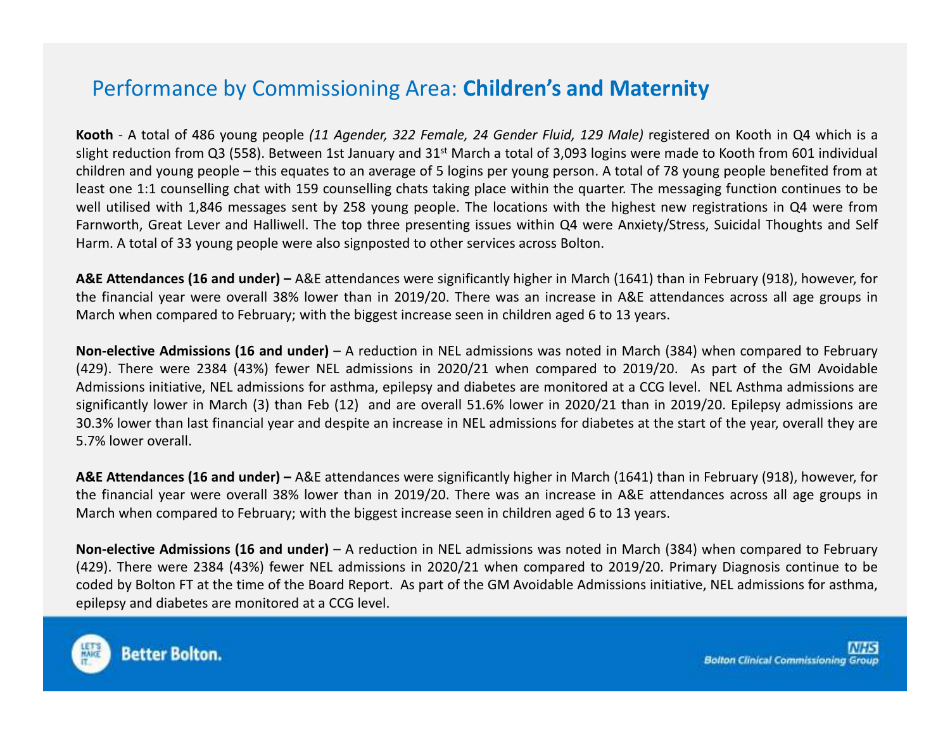### Performance by Commissioning Area: **Children's and Maternity**

**Kooth** - A total of 486 young people *(11 Agender, 322 Female, 24 Gender Fluid, 129 Male)* registered on Kooth in Q4 which is a slight reduction from Q3 (558). Between 1st January and <sup>31</sup>st March <sup>a</sup> total of 3,093 logins were made to Kooth from <sup>601</sup> individual children and young people – this equates to an average of <sup>5</sup> logins per young person. <sup>A</sup> total of <sup>78</sup> young people benefited from at least one 1:1 counselling chat with <sup>159</sup> counselling chats taking place within the quarter. The messaging function continues to be well utilised with 1,846 messages sent by <sup>258</sup> young people. The locations with the highest new registrations in Q4 were from Farnworth, Great Lever and Halliwell. The top three presenting issues within Q4 were Anxiety/Stress, Suicidal Thoughts and Self Harm. <sup>A</sup> total of <sup>33</sup> young people were also signposted to other services across Bolton.

**A&E Attendances (16 and under) –** A&E attendances were significantly higher in March (1641) than in February (918), however, for the financial year were overall 38% lower than in 2019/20. There was an increase in A&E attendances across all age groups <sup>i</sup> nMarch when compared to February; with the biggest increase seen in children aged <sup>6</sup> to <sup>13</sup> years.

**Non-elective Admissions (16 and under)** – <sup>A</sup> reduction in NEL admissions was noted in March (384) when compared to February (429). There were <sup>2384</sup> (43%) fewer NEL admissions in 2020/21 when compared to 2019/20. As part of the GM Avoidable Admissions initiative, NEL admissions for asthma, epilepsy and diabetes are monitored at <sup>a</sup> CCG level. NEL Asthma admissions are significantly lower in March (3) than Feb (12) and are overall 51.6% lower in 2020/21 than in 2019/20. Epilepsy admissions are 30.3% lower than last financial year and despite an increase in NEL admissions for diabetes at the start of the year, overall they are 5.7% lower overall.

**A&E Attendances (16 and under) –** A&E attendances were significantly higher in March (1641) than in February (918), however, for the financial year were overall 38% lower than in 2019/20. There was an increase in A&E attendances across all age groups <sup>i</sup> nMarch when compared to February; with the biggest increase seen in children aged <sup>6</sup> to <sup>13</sup> years.

**Non-elective Admissions (16 and under)** – <sup>A</sup> reduction in NEL admissions was noted in March (384) when compared to February (429). There were <sup>2384</sup> (43%) fewer NEL admissions in 2020/21 when compared to 2019/20. Primary Diagnosis continue to be coded by Bolton FT at the time of the Board Report. As part of the GM Avoidable Admissions initiative, NEL admissions for asthma, epilepsy and diabetes are monitored at <sup>a</sup> CCG level.